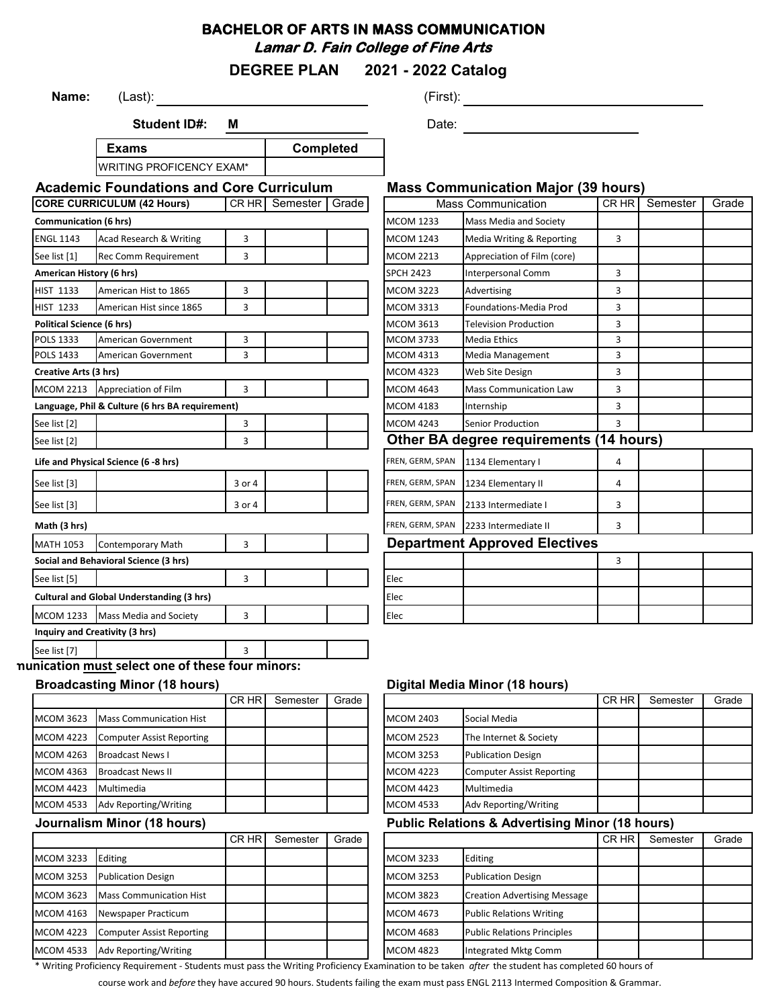## **BACHELOR OF ARTS IN MASS COMMUNICATION Lamar D. Fain College of Fine Arts**

**DEGREE PLAN 2021 - 2022 Catalog**

| Name:                            | (Last):                                                   |         |                      |                  |                                      |                                                            |       |          |       |
|----------------------------------|-----------------------------------------------------------|---------|----------------------|------------------|--------------------------------------|------------------------------------------------------------|-------|----------|-------|
|                                  | <b>Student ID#:</b>                                       | M       |                      |                  | Date:                                |                                                            |       |          |       |
|                                  | <b>Exams</b>                                              |         |                      | <b>Completed</b> |                                      |                                                            |       |          |       |
|                                  | WRITING PROFICENCY EXAM*                                  |         |                      |                  |                                      |                                                            |       |          |       |
|                                  | <b>Academic Foundations and Core Curriculum</b>           |         |                      |                  |                                      | <b>Mass Communication Major (39 hours)</b>                 |       |          |       |
|                                  | <b>CORE CURRICULUM (42 Hours)</b>                         |         | CR HR Semester Grade |                  |                                      | <b>Mass Communication</b>                                  | CR HR | Semester | Grade |
| <b>Communication (6 hrs)</b>     |                                                           |         |                      |                  | <b>MCOM 1233</b>                     | <b>Mass Media and Society</b>                              |       |          |       |
| <b>ENGL 1143</b>                 | Acad Research & Writing                                   | 3       |                      |                  | <b>MCOM 1243</b>                     | Media Writing & Reporting                                  | 3     |          |       |
| See list [1]                     | <b>Rec Comm Requirement</b>                               | 3       |                      |                  | <b>MCOM 2213</b>                     | Appreciation of Film (core)                                |       |          |       |
| American History (6 hrs)         |                                                           |         |                      |                  | <b>SPCH 2423</b>                     | Interpersonal Comm                                         | 3     |          |       |
| <b>HIST 1133</b>                 | American Hist to 1865                                     | 3       |                      |                  | <b>MCOM 3223</b>                     | Advertising                                                | 3     |          |       |
| <b>HIST 1233</b>                 | American Hist since 1865                                  | 3       |                      |                  | <b>MCOM 3313</b>                     | Foundations-Media Prod                                     | 3     |          |       |
| <b>Political Science (6 hrs)</b> |                                                           |         |                      |                  | <b>MCOM 3613</b>                     | <b>Television Production</b>                               | 3     |          |       |
| POLS 1333                        | American Government                                       | 3       |                      |                  | <b>MCOM 3733</b>                     | Media Ethics                                               | 3     |          |       |
| POLS 1433                        | American Government                                       | 3       |                      |                  | <b>MCOM 4313</b>                     | Media Management                                           | 3     |          |       |
| Creative Arts (3 hrs)            |                                                           |         |                      |                  | <b>MCOM 4323</b>                     | Web Site Design                                            | 3     |          |       |
|                                  | MCOM 2213 Appreciation of Film                            | 3       |                      |                  | <b>MCOM 4643</b>                     | <b>Mass Communication Law</b>                              | 3     |          |       |
|                                  | Language, Phil & Culture (6 hrs BA requirement)           |         |                      |                  | <b>MCOM 4183</b>                     | Internship                                                 | 3     |          |       |
| See list [2]                     |                                                           | 3       |                      |                  | <b>MCOM 4243</b>                     | <b>Senior Production</b>                                   | 3     |          |       |
| See list [2]                     |                                                           | 3       |                      |                  |                                      | Other BA degree requirements (14 hours)                    |       |          |       |
|                                  | Life and Physical Science (6 -8 hrs)                      |         |                      |                  |                                      | FREN, GERM, SPAN 1134 Elementary I                         | 4     |          |       |
| See list [3]                     |                                                           | 3 or 4  |                      |                  |                                      | FREN, GERM, SPAN 1234 Elementary II                        | 4     |          |       |
| See list [3]                     |                                                           | 3 or 4  |                      |                  |                                      | FREN, GERM, SPAN 2133 Intermediate I                       | 3     |          |       |
| Math (3 hrs)                     |                                                           |         |                      |                  |                                      | FREN, GERM, SPAN 2233 Intermediate II                      | 3     |          |       |
| <b>MATH 1053</b>                 | <b>Contemporary Math</b>                                  | 3       |                      |                  |                                      | <b>Department Approved Electives</b>                       |       |          |       |
|                                  | Social and Behavioral Science (3 hrs)                     |         |                      |                  |                                      |                                                            | 3     |          |       |
| See list [5]                     |                                                           | 3       |                      |                  | Elec                                 |                                                            |       |          |       |
|                                  | <b>Cultural and Global Understanding (3 hrs)</b>          |         |                      |                  | Elec                                 |                                                            |       |          |       |
|                                  | MCOM 1233 Mass Media and Society                          | 3       |                      |                  | Elec                                 |                                                            |       |          |       |
|                                  | Inquiry and Creativity (3 hrs)                            |         |                      |                  |                                      |                                                            |       |          |       |
| See list [7]                     |                                                           | 3       |                      |                  |                                      |                                                            |       |          |       |
|                                  | nunication must select one of these four minors:          |         |                      |                  |                                      |                                                            |       |          |       |
|                                  | <b>Broadcasting Minor (18 hours)</b>                      |         |                      |                  |                                      | Digital Media Minor (18 hours)                             |       |          |       |
|                                  |                                                           | $CR$ HR | Semester             | Grade            |                                      |                                                            | CR HR | Semester | Grade |
| <b>MCOM 3623</b>                 | <b>Mass Communication Hist</b>                            |         |                      |                  | <b>MCOM 2403</b>                     | Social Media                                               |       |          |       |
| <b>MCOM 4223</b>                 | <b>Computer Assist Reporting</b>                          |         |                      |                  | <b>MCOM 2523</b>                     | The Internet & Society                                     |       |          |       |
|                                  |                                                           |         |                      |                  |                                      |                                                            |       |          |       |
| <b>MCOM 4263</b>                 | <b>Broadcast News I</b>                                   |         |                      |                  | <b>MCOM 3253</b>                     | <b>Publication Design</b>                                  |       |          |       |
| <b>MCOM 4363</b>                 | <b>Broadcast News II</b>                                  |         |                      |                  | <b>MCOM 4223</b>                     | <b>Computer Assist Reporting</b>                           |       |          |       |
| <b>MCOM 4423</b>                 | Multimedia                                                |         |                      |                  | <b>MCOM 4423</b>                     | Multimedia                                                 |       |          |       |
| MCOM 4533                        | Adv Reporting/Writing                                     |         |                      |                  | <b>MCOM 4533</b>                     | Adv Reporting/Writing                                      |       |          |       |
|                                  |                                                           |         |                      |                  |                                      |                                                            |       |          |       |
|                                  | Journalism Minor (18 hours)                               | CR HR   | Semester             | Grade            |                                      | <b>Public Relations &amp; Advertising Minor (18 hours)</b> | CR HR | Semester | Grade |
| <b>MCOM 3233</b>                 | Editing                                                   |         |                      |                  | <b>MCOM 3233</b>                     | Editing                                                    |       |          |       |
|                                  |                                                           |         |                      |                  |                                      |                                                            |       |          |       |
| <b>MCOM 3253</b>                 | <b>Publication Design</b>                                 |         |                      |                  | <b>MCOM 3253</b>                     | <b>Publication Design</b>                                  |       |          |       |
| MCOM 3623                        | <b>Mass Communication Hist</b>                            |         |                      |                  | <b>MCOM 3823</b>                     | <b>Creation Advertising Message</b>                        |       |          |       |
| <b>MCOM 4163</b>                 | Newspaper Practicum                                       |         |                      |                  | <b>MCOM 4673</b>                     | <b>Public Relations Writing</b>                            |       |          |       |
| <b>MCOM 4223</b><br>MCOM 4533    | <b>Computer Assist Reporting</b><br>Adv Reporting/Writing |         |                      |                  | <b>MCOM 4683</b><br><b>MCOM 4823</b> | <b>Public Relations Principles</b><br>Integrated Mktg Comm |       |          |       |

ourse work and *before* they have accured 90 hours. Students failing the exam must pass ENGL 2113 Intermed Composition & Gramn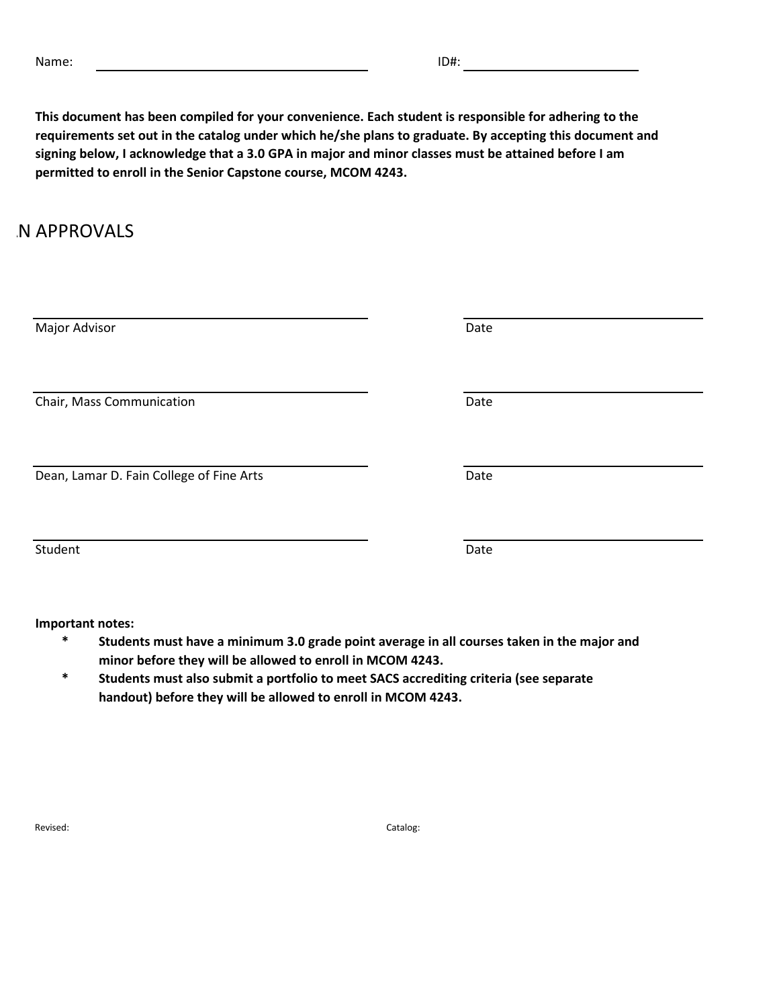**This document has been compiled for your convenience. Each student is responsible for adhering to the requirements set out in the catalog under which he/she plans to graduate. By accepting this document and signing below, I acknowledge that a 3.0 GPA in major and minor classes must be attained before I am permitted to enroll in the Senior Capstone course, MCOM 4243.**

## **N APPROVALS**

| Major Advisor                            | Date |
|------------------------------------------|------|
| Chair, Mass Communication                | Date |
| Dean, Lamar D. Fain College of Fine Arts | Date |
| Student                                  | Date |
| Important notes:                         |      |

- **\* Students must have a minimum 3.0 grade point average in all courses taken in the major and minor before they will be allowed to enroll in MCOM 4243.**
- **\* Students must also submit a portfolio to meet SACS accrediting criteria (see separate handout) before they will be allowed to enroll in MCOM 4243.**

Revised: Catalog: Catalog: Catalog: Catalog: Catalog: Catalog: Catalog: Catalog: Catalog: Catalog: Catalog: Catalog: Catalog: Catalog: Catalog: Catalog: Catalog: Catalog: Catalog: Catalog: Catalog: Catalog: Catalog: Catalo